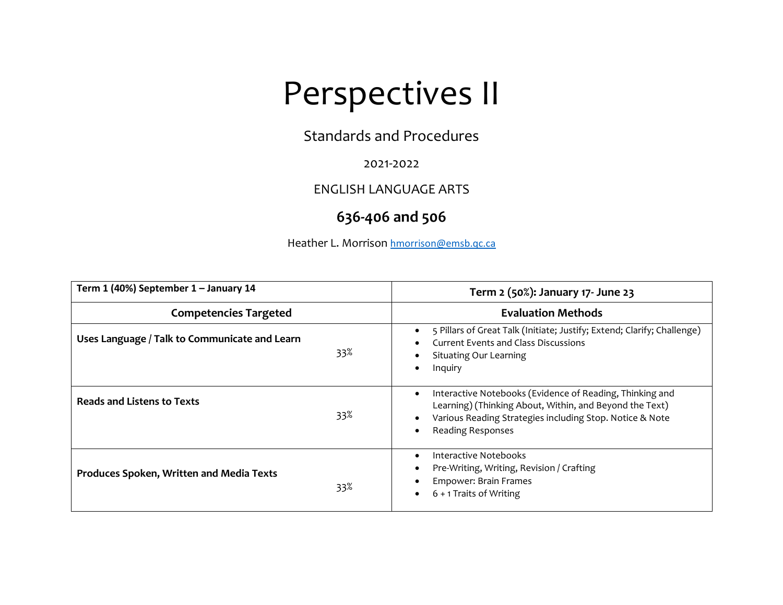## Perspectives II

Standards and Procedures

2021-2022

ENGLISH LANGUAGE ARTS

## **636-406 and 506**

Heather L. Morrison hmorrison@emsb.qc.ca

| Term 1 (40%) September 1 - January 14                  | Term 2 (50%): January 17- June 23                                                                                                                                                                                        |
|--------------------------------------------------------|--------------------------------------------------------------------------------------------------------------------------------------------------------------------------------------------------------------------------|
| <b>Competencies Targeted</b>                           | <b>Evaluation Methods</b>                                                                                                                                                                                                |
| Uses Language / Talk to Communicate and Learn<br>33%   | 5 Pillars of Great Talk (Initiate; Justify; Extend; Clarify; Challenge)<br>Current Events and Class Discussions<br>Situating Our Learning<br>Inquiry                                                                     |
| <b>Reads and Listens to Texts</b><br>33%               | Interactive Notebooks (Evidence of Reading, Thinking and<br>$\bullet$<br>Learning) (Thinking About, Within, and Beyond the Text)<br>Various Reading Strategies including Stop. Notice & Note<br><b>Reading Responses</b> |
| <b>Produces Spoken, Written and Media Texts</b><br>33% | Interactive Notebooks<br>Pre-Writing, Writing, Revision / Crafting<br>Empower: Brain Frames<br>6 + 1 Traits of Writing                                                                                                   |